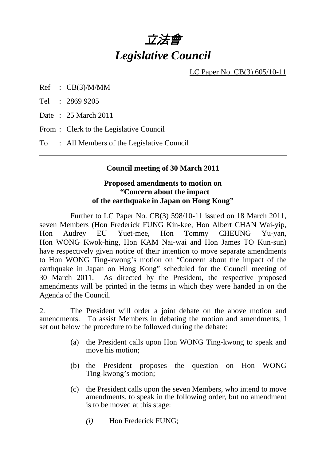# 立法會 *Legislative Council*

LC Paper No. CB(3) 605/10-11

Ref : CB(3)/M/MM

Tel : 2869 9205

Date : 25 March 2011

From : Clerk to the Legislative Council

To : All Members of the Legislative Council

### **Council meeting of 30 March 2011**

### **Proposed amendments to motion on "Concern about the impact of the earthquake in Japan on Hong Kong"**

 Further to LC Paper No. CB(3) 598/10-11 issued on 18 March 2011, seven Members (Hon Frederick FUNG Kin-kee, Hon Albert CHAN Wai-yip, Hon Audrey EU Yuet-mee, Hon Tommy CHEUNG Yu-yan, Hon WONG Kwok-hing, Hon KAM Nai-wai and Hon James TO Kun-sun) have respectively given notice of their intention to move separate amendments to Hon WONG Ting-kwong's motion on "Concern about the impact of the earthquake in Japan on Hong Kong" scheduled for the Council meeting of 30 March 2011. As directed by the President, the respective proposed amendments will be printed in the terms in which they were handed in on the Agenda of the Council.

2. The President will order a joint debate on the above motion and amendments. To assist Members in debating the motion and amendments, I set out below the procedure to be followed during the debate:

- (a) the President calls upon Hon WONG Ting-kwong to speak and move his motion;
- (b) the President proposes the question on Hon WONG Ting-kwong's motion;
- (c) the President calls upon the seven Members, who intend to move amendments, to speak in the following order, but no amendment is to be moved at this stage:
	- *(i)* Hon Frederick FUNG;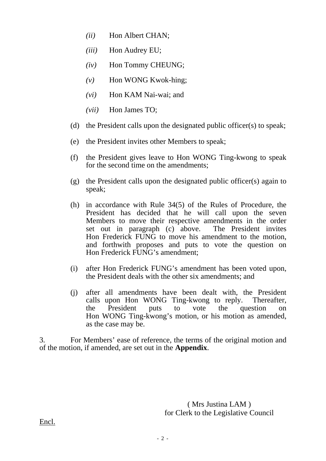- *(ii)* Hon Albert CHAN;
- *(iii)* Hon Audrey EU;
- *(iv)* Hon Tommy CHEUNG;
- *(v)* Hon WONG Kwok-hing;
- *(vi)* Hon KAM Nai-wai; and
- *(vii)* Hon James TO;
- (d) the President calls upon the designated public officer(s) to speak;
- (e) the President invites other Members to speak;
- (f) the President gives leave to Hon WONG Ting-kwong to speak for the second time on the amendments;
- (g) the President calls upon the designated public officer(s) again to speak;
- (h) in accordance with Rule 34(5) of the Rules of Procedure, the President has decided that he will call upon the seven Members to move their respective amendments in the order set out in paragraph (c) above. The President invites Hon Frederick FUNG to move his amendment to the motion, and forthwith proposes and puts to vote the question on Hon Frederick FUNG's amendment;
- (i) after Hon Frederick FUNG's amendment has been voted upon, the President deals with the other six amendments; and
- (j) after all amendments have been dealt with, the President calls upon Hon WONG Ting-kwong to reply. Thereafter, the President puts to vote the question on Hon WONG Ting-kwong's motion, or his motion as amended, as the case may be.

3. For Members' ease of reference, the terms of the original motion and of the motion, if amended, are set out in the **Appendix**.

> ( Mrs Justina LAM ) for Clerk to the Legislative Council

Encl.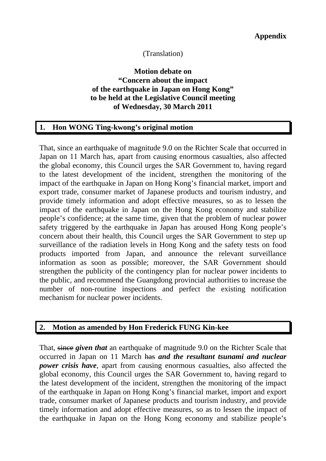## (Translation)

### **Motion debate on "Concern about the impact of the earthquake in Japan on Hong Kong" to be held at the Legislative Council meeting of Wednesday, 30 March 2011**

## **1. Hon WONG Ting-kwong's original motion**

That, since an earthquake of magnitude 9.0 on the Richter Scale that occurred in Japan on 11 March has, apart from causing enormous casualties, also affected the global economy, this Council urges the SAR Government to, having regard to the latest development of the incident, strengthen the monitoring of the impact of the earthquake in Japan on Hong Kong's financial market, import and export trade, consumer market of Japanese products and tourism industry, and provide timely information and adopt effective measures, so as to lessen the impact of the earthquake in Japan on the Hong Kong economy and stabilize people's confidence; at the same time, given that the problem of nuclear power safety triggered by the earthquake in Japan has aroused Hong Kong people's concern about their health, this Council urges the SAR Government to step up surveillance of the radiation levels in Hong Kong and the safety tests on food products imported from Japan, and announce the relevant surveillance information as soon as possible; moreover, the SAR Government should strengthen the publicity of the contingency plan for nuclear power incidents to the public, and recommend the Guangdong provincial authorities to increase the number of non-routine inspections and perfect the existing notification mechanism for nuclear power incidents.

#### **2. Motion as amended by Hon Frederick FUNG Kin-kee**

That, since *given that* an earthquake of magnitude 9.0 on the Richter Scale that occurred in Japan on 11 March has *and the resultant tsunami and nuclear power crisis have*, apart from causing enormous casualties, also affected the global economy, this Council urges the SAR Government to, having regard to the latest development of the incident, strengthen the monitoring of the impact of the earthquake in Japan on Hong Kong's financial market, import and export trade, consumer market of Japanese products and tourism industry, and provide timely information and adopt effective measures, so as to lessen the impact of the earthquake in Japan on the Hong Kong economy and stabilize people's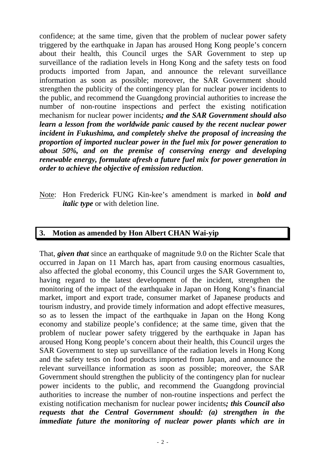confidence; at the same time, given that the problem of nuclear power safety triggered by the earthquake in Japan has aroused Hong Kong people's concern about their health, this Council urges the SAR Government to step up surveillance of the radiation levels in Hong Kong and the safety tests on food products imported from Japan, and announce the relevant surveillance information as soon as possible; moreover, the SAR Government should strengthen the publicity of the contingency plan for nuclear power incidents to the public, and recommend the Guangdong provincial authorities to increase the number of non-routine inspections and perfect the existing notification mechanism for nuclear power incidents*; and the SAR Government should also learn a lesson from the worldwide panic caused by the recent nuclear power incident in Fukushima, and completely shelve the proposal of increasing the proportion of imported nuclear power in the fuel mix for power generation to about 50%, and on the premise of conserving energy and developing renewable energy, formulate afresh a future fuel mix for power generation in order to achieve the objective of emission reduction*.

Note: Hon Frederick FUNG Kin-kee's amendment is marked in *bold and italic type* or with deletion line.

### **3. Motion as amended by Hon Albert CHAN Wai-yip**

That, *given that* since an earthquake of magnitude 9.0 on the Richter Scale that occurred in Japan on 11 March has, apart from causing enormous casualties, also affected the global economy, this Council urges the SAR Government to, having regard to the latest development of the incident, strengthen the monitoring of the impact of the earthquake in Japan on Hong Kong's financial market, import and export trade, consumer market of Japanese products and tourism industry, and provide timely information and adopt effective measures, so as to lessen the impact of the earthquake in Japan on the Hong Kong economy and stabilize people's confidence; at the same time, given that the problem of nuclear power safety triggered by the earthquake in Japan has aroused Hong Kong people's concern about their health, this Council urges the SAR Government to step up surveillance of the radiation levels in Hong Kong and the safety tests on food products imported from Japan, and announce the relevant surveillance information as soon as possible; moreover, the SAR Government should strengthen the publicity of the contingency plan for nuclear power incidents to the public, and recommend the Guangdong provincial authorities to increase the number of non-routine inspections and perfect the existing notification mechanism for nuclear power incidents*; this Council also requests that the Central Government should: (a) strengthen in the immediate future the monitoring of nuclear power plants which are in*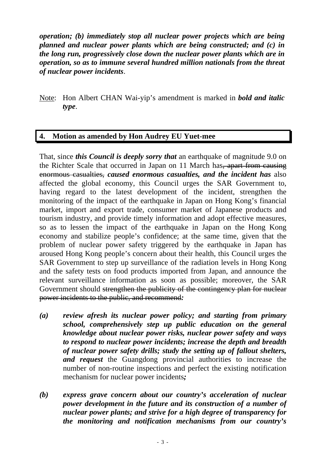*operation; (b) immediately stop all nuclear power projects which are being planned and nuclear power plants which are being constructed; and (c) in the long run, progressively close down the nuclear power plants which are in operation, so as to immune several hundred million nationals from the threat of nuclear power incidents*.

Note: Hon Albert CHAN Wai-yip's amendment is marked in *bold and italic type*.

### **4. Motion as amended by Hon Audrey EU Yuet-mee**

That, since *this Council is deeply sorry that* an earthquake of magnitude 9.0 on the Richter Scale that occurred in Japan on 11 March has, apart from causing enormous casualties, *caused enormous casualties, and the incident has* also affected the global economy, this Council urges the SAR Government to, having regard to the latest development of the incident, strengthen the monitoring of the impact of the earthquake in Japan on Hong Kong's financial market, import and export trade, consumer market of Japanese products and tourism industry, and provide timely information and adopt effective measures, so as to lessen the impact of the earthquake in Japan on the Hong Kong economy and stabilize people's confidence; at the same time, given that the problem of nuclear power safety triggered by the earthquake in Japan has aroused Hong Kong people's concern about their health, this Council urges the SAR Government to step up surveillance of the radiation levels in Hong Kong and the safety tests on food products imported from Japan, and announce the relevant surveillance information as soon as possible; moreover, the SAR Government should strengthen the publicity of the contingency plan for nuclear power incidents to the public, and recommend*:* 

- *(a) review afresh its nuclear power policy; and starting from primary school, comprehensively step up public education on the general knowledge about nuclear power risks, nuclear power safety and ways to respond to nuclear power incidents; increase the depth and breadth of nuclear power safety drills; study the setting up of fallout shelters, and request* the Guangdong provincial authorities to increase the number of non-routine inspections and perfect the existing notification mechanism for nuclear power incidents*;*
- *(b) express grave concern about our country's acceleration of nuclear power development in the future and its construction of a number of nuclear power plants; and strive for a high degree of transparency for the monitoring and notification mechanisms from our country's*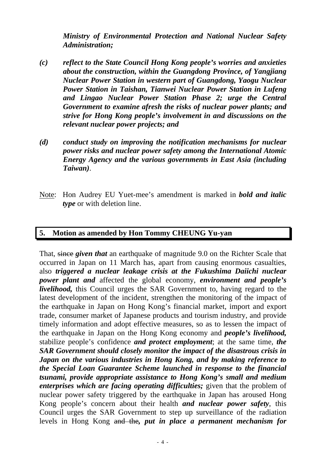*Ministry of Environmental Protection and National Nuclear Safety Administration;* 

- *(c) reflect to the State Council Hong Kong people's worries and anxieties about the construction, within the Guangdong Province, of Yangjiang Nuclear Power Station in western part of Guangdong, Yaogu Nuclear Power Station in Taishan, Tianwei Nuclear Power Station in Lufeng and Lingao Nuclear Power Station Phase 2; urge the Central Government to examine afresh the risks of nuclear power plants; and strive for Hong Kong people's involvement in and discussions on the relevant nuclear power projects; and*
- *(d) conduct study on improving the notification mechanisms for nuclear power risks and nuclear power safety among the International Atomic Energy Agency and the various governments in East Asia (including Taiwan)*.
- Note: Hon Audrey EU Yuet-mee's amendment is marked in *bold and italic type* or with deletion line.

### **5. Motion as amended by Hon Tommy CHEUNG Yu-yan**

That, since *given that* an earthquake of magnitude 9.0 on the Richter Scale that occurred in Japan on 11 March has, apart from causing enormous casualties, also *triggered a nuclear leakage crisis at the Fukushima Daiichi nuclear power plant and* affected the global economy, *environment and people's livelihood,* this Council urges the SAR Government to, having regard to the latest development of the incident, strengthen the monitoring of the impact of the earthquake in Japan on Hong Kong's financial market, import and export trade, consumer market of Japanese products and tourism industry, and provide timely information and adopt effective measures, so as to lessen the impact of the earthquake in Japan on the Hong Kong economy and *people's livelihood,*  stabilize people's confidence *and protect employment*; at the same time, *the SAR Government should closely monitor the impact of the disastrous crisis in Japan on the various industries in Hong Kong, and by making reference to the Special Loan Guarantee Scheme launched in response to the financial tsunami, provide appropriate assistance to Hong Kong's small and medium enterprises which are facing operating difficulties;* given that the problem of nuclear power safety triggered by the earthquake in Japan has aroused Hong Kong people's concern about their health *and nuclear power safety*, this Council urges the SAR Government to step up surveillance of the radiation levels in Hong Kong and the*, put in place a permanent mechanism for*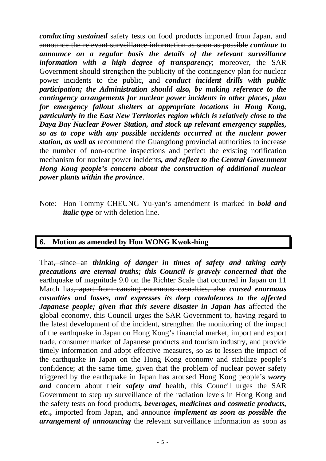*conducting sustained* safety tests on food products imported from Japan, and announce the relevant surveillance information as soon as possible *continue to announce on a regular basis the details of the relevant surveillance information with a high degree of transparency*; moreover, the SAR Government should strengthen the publicity of the contingency plan for nuclear power incidents to the public, and *conduct incident drills with public participation; the Administration should also, by making reference to the contingency arrangements for nuclear power incidents in other places, plan for emergency fallout shelters at appropriate locations in Hong Kong, particularly in the East New Territories region which is relatively close to the Daya Bay Nuclear Power Station, and stock up relevant emergency supplies, so as to cope with any possible accidents occurred at the nuclear power station, as well as* recommend the Guangdong provincial authorities to increase the number of non-routine inspections and perfect the existing notification mechanism for nuclear power incidents*, and reflect to the Central Government Hong Kong people's concern about the construction of additional nuclear power plants within the province*.

Note: Hon Tommy CHEUNG Yu-yan's amendment is marked in *bold and italic type* or with deletion line.

## **6. Motion as amended by Hon WONG Kwok-hing**

That, since an *thinking of danger in times of safety and taking early precautions are eternal truths; this Council is gravely concerned that the* earthquake of magnitude 9.0 on the Richter Scale that occurred in Japan on 11 March has, apart from causing enormous casualties, also *caused enormous casualties and losses, and expresses its deep condolences to the affected Japanese people; given that this severe disaster in Japan has* affected the global economy, this Council urges the SAR Government to, having regard to the latest development of the incident, strengthen the monitoring of the impact of the earthquake in Japan on Hong Kong's financial market, import and export trade, consumer market of Japanese products and tourism industry, and provide timely information and adopt effective measures, so as to lessen the impact of the earthquake in Japan on the Hong Kong economy and stabilize people's confidence; at the same time, given that the problem of nuclear power safety triggered by the earthquake in Japan has aroused Hong Kong people's *worry and* concern about their *safety and* health, this Council urges the SAR Government to step up surveillance of the radiation levels in Hong Kong and the safety tests on food products*, beverages, medicines and cosmetic products, etc.,* imported from Japan, and announce *implement as soon as possible the arrangement of announcing* the relevant surveillance information as soon as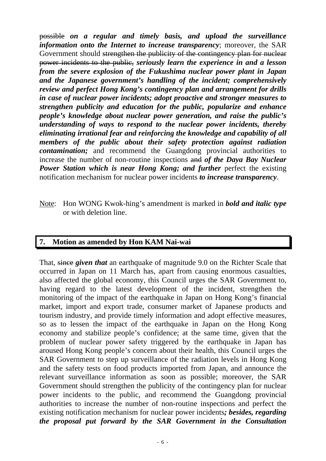possible *on a regular and timely basis, and upload the surveillance information onto the Internet to increase transparency*; moreover, the SAR Government should strengthen the publicity of the contingency plan for nuclear power incidents to the public, *seriously learn the experience in and a lesson from the severe explosion of the Fukushima nuclear power plant in Japan and the Japanese government's handling of the incident; comprehensively review and perfect Hong Kong's contingency plan and arrangement for drills in case of nuclear power incidents; adopt proactive and stronger measures to strengthen publicity and education for the public, popularize and enhance people's knowledge about nuclear power generation, and raise the public's understanding of ways to respond to the nuclear power incidents, thereby eliminating irrational fear and reinforcing the knowledge and capability of all members of the public about their safety protection against radiation contamination;* and recommend the Guangdong provincial authorities to increase the number of non-routine inspections and *of the Daya Bay Nuclear Power Station which is near Hong Kong; and further* perfect the existing notification mechanism for nuclear power incidents *to increase transparency*.

Note: Hon WONG Kwok-hing's amendment is marked in *bold and italic type* or with deletion line.

### **7. Motion as amended by Hon KAM Nai-wai**

That, since *given that* an earthquake of magnitude 9.0 on the Richter Scale that occurred in Japan on 11 March has, apart from causing enormous casualties, also affected the global economy, this Council urges the SAR Government to, having regard to the latest development of the incident, strengthen the monitoring of the impact of the earthquake in Japan on Hong Kong's financial market, import and export trade, consumer market of Japanese products and tourism industry, and provide timely information and adopt effective measures, so as to lessen the impact of the earthquake in Japan on the Hong Kong economy and stabilize people's confidence; at the same time, given that the problem of nuclear power safety triggered by the earthquake in Japan has aroused Hong Kong people's concern about their health, this Council urges the SAR Government to step up surveillance of the radiation levels in Hong Kong and the safety tests on food products imported from Japan, and announce the relevant surveillance information as soon as possible; moreover, the SAR Government should strengthen the publicity of the contingency plan for nuclear power incidents to the public, and recommend the Guangdong provincial authorities to increase the number of non-routine inspections and perfect the existing notification mechanism for nuclear power incidents*; besides, regarding the proposal put forward by the SAR Government in the Consultation*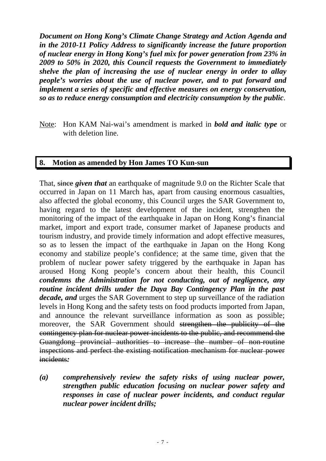*Document on Hong Kong's Climate Change Strategy and Action Agenda and in the 2010-11 Policy Address to significantly increase the future proportion of nuclear energy in Hong Kong's fuel mix for power generation from 23% in 2009 to 50% in 2020, this Council requests the Government to immediately shelve the plan of increasing the use of nuclear energy in order to allay people's worries about the use of nuclear power, and to put forward and implement a series of specific and effective measures on energy conservation, so as to reduce energy consumption and electricity consumption by the public*.

Note: Hon KAM Nai-wai's amendment is marked in *bold and italic type* or with deletion line.

### **8. Motion as amended by Hon James TO Kun-sun**

That, since *given that* an earthquake of magnitude 9.0 on the Richter Scale that occurred in Japan on 11 March has, apart from causing enormous casualties, also affected the global economy, this Council urges the SAR Government to, having regard to the latest development of the incident, strengthen the monitoring of the impact of the earthquake in Japan on Hong Kong's financial market, import and export trade, consumer market of Japanese products and tourism industry, and provide timely information and adopt effective measures, so as to lessen the impact of the earthquake in Japan on the Hong Kong economy and stabilize people's confidence; at the same time, given that the problem of nuclear power safety triggered by the earthquake in Japan has aroused Hong Kong people's concern about their health, this Council *condemns the Administration for not conducting, out of negligence, any routine incident drills under the Daya Bay Contingency Plan in the past decade, and* urges the SAR Government to step up surveillance of the radiation levels in Hong Kong and the safety tests on food products imported from Japan, and announce the relevant surveillance information as soon as possible; moreover, the SAR Government should strengthen the publicity of the contingency plan for nuclear power incidents to the public, and recommend the Guangdong provincial authorities to increase the number of non-routine inspections and perfect the existing notification mechanism for nuclear power incidents*:* 

*(a) comprehensively review the safety risks of using nuclear power, strengthen public education focusing on nuclear power safety and responses in case of nuclear power incidents, and conduct regular nuclear power incident drills;*